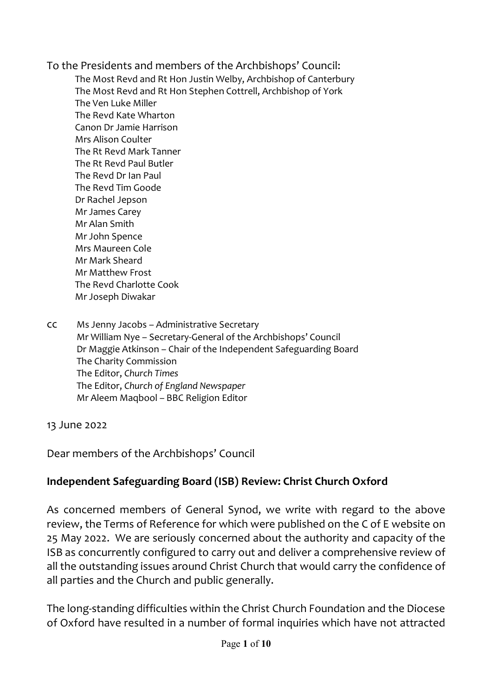To the Presidents and members of the Archbishops' Council: The Most Revd and Rt Hon Justin Welby, Archbishop of Canterbury The Most Revd and Rt Hon Stephen Cottrell, Archbishop of York The Ven Luke Miller The Revd Kate Wharton Canon Dr Jamie Harrison Mrs Alison Coulter The Rt Revd Mark Tanner The Rt Revd Paul Butler The Revd Dr Ian Paul The Revd Tim Goode Dr Rachel Jepson Mr James Carey Mr Alan Smith Mr John Spence Mrs Maureen Cole Mr Mark Sheard Mr Matthew Frost The Revd Charlotte Cook Mr Joseph Diwakar

cc Ms Jenny Jacobs – Administrative Secretary Mr William Nye – Secretary-General of the Archbishops' Council Dr Maggie Atkinson – Chair of the Independent Safeguarding Board The Charity Commission The Editor, *Church Times* The Editor, *Church of England Newspaper* Mr Aleem Maqbool – BBC Religion Editor

13 June 2022

Dear members of the Archbishops' Council

## **Independent Safeguarding Board (ISB) Review: Christ Church Oxford**

As concerned members of General Synod, we write with regard to the above review, the Terms of Reference for which were published on the C of E website on 25 May 2022. We are seriously concerned about the authority and capacity of the ISB as concurrently configured to carry out and deliver a comprehensive review of all the outstanding issues around Christ Church that would carry the confidence of all parties and the Church and public generally.

The long-standing difficulties within the Christ Church Foundation and the Diocese of Oxford have resulted in a number of formal inquiries which have not attracted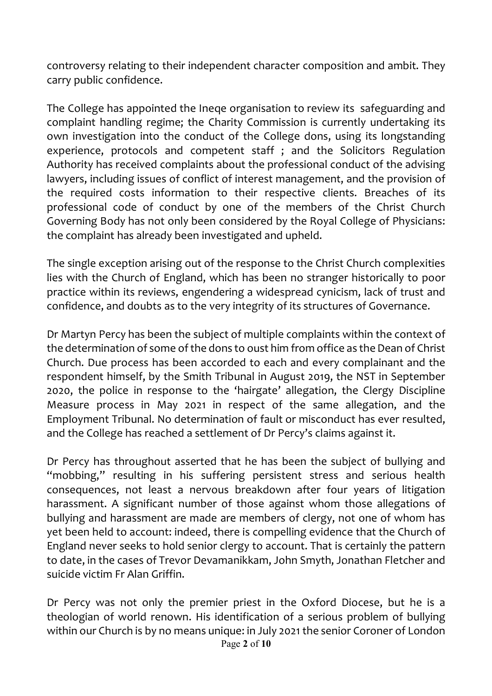controversy relating to their independent character composition and ambit. They carry public confidence.

The College has appointed the Ineqe organisation to review its safeguarding and complaint handling regime; the Charity Commission is currently undertaking its own investigation into the conduct of the College dons, using its longstanding experience, protocols and competent staff ; and the Solicitors Regulation Authority has received complaints about the professional conduct of the advising lawyers, including issues of conflict of interest management, and the provision of the required costs information to their respective clients. Breaches of its professional code of conduct by one of the members of the Christ Church Governing Body has not only been considered by the Royal College of Physicians: the complaint has already been investigated and upheld.

The single exception arising out of the response to the Christ Church complexities lies with the Church of England, which has been no stranger historically to poor practice within its reviews, engendering a widespread cynicism, lack of trust and confidence, and doubts as to the very integrity of its structures of Governance.

Dr Martyn Percy has been the subject of multiple complaints within the context of the determination of some of the dons to oust him from office as the Dean of Christ Church. Due process has been accorded to each and every complainant and the respondent himself, by the Smith Tribunal in August 2019, the NST in September 2020, the police in response to the 'hairgate' allegation, the Clergy Discipline Measure process in May 2021 in respect of the same allegation, and the Employment Tribunal. No determination of fault or misconduct has ever resulted, and the College has reached a settlement of Dr Percy's claims against it.

Dr Percy has throughout asserted that he has been the subject of bullying and "mobbing," resulting in his suffering persistent stress and serious health consequences, not least a nervous breakdown after four years of litigation harassment. A significant number of those against whom those allegations of bullying and harassment are made are members of clergy, not one of whom has yet been held to account: indeed, there is compelling evidence that the Church of England never seeks to hold senior clergy to account. That is certainly the pattern to date, in the cases of Trevor Devamanikkam, John Smyth, Jonathan Fletcher and suicide victim Fr Alan Griffin.

Dr Percy was not only the premier priest in the Oxford Diocese, but he is a theologian of world renown. His identification of a serious problem of bullying within our Church is by no means unique: in July 2021 the senior Coroner of London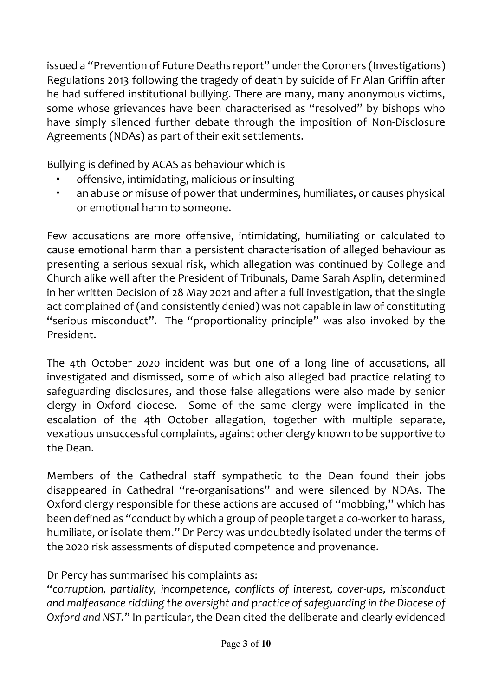issued a "Prevention of Future Deaths report" under the Coroners (Investigations) Regulations 2013 following the tragedy of death by suicide of Fr Alan Griffin after he had suffered institutional bullying. There are many, many anonymous victims, some whose grievances have been characterised as "resolved" by bishops who have simply silenced further debate through the imposition of Non-Disclosure Agreements (NDAs) as part of their exit settlements.

Bullying is defined by ACAS as behaviour which is

- offensive, intimidating, malicious or insulting
- an abuse or misuse of power that undermines, humiliates, or causes physical or emotional harm to someone.

Few accusations are more offensive, intimidating, humiliating or calculated to cause emotional harm than a persistent characterisation of alleged behaviour as presenting a serious sexual risk, which allegation was continued by College and Church alike well after the President of Tribunals, Dame Sarah Asplin, determined in her written Decision of 28 May 2021 and after a full investigation, that the single act complained of (and consistently denied) was not capable in law of constituting "serious misconduct". The "proportionality principle" was also invoked by the President.

The 4th October 2020 incident was but one of a long line of accusations, all investigated and dismissed, some of which also alleged bad practice relating to safeguarding disclosures, and those false allegations were also made by senior clergy in Oxford diocese. Some of the same clergy were implicated in the escalation of the 4th October allegation, together with multiple separate, vexatious unsuccessful complaints, against other clergy known to be supportive to the Dean.

Members of the Cathedral staff sympathetic to the Dean found their jobs disappeared in Cathedral "re-organisations" and were silenced by NDAs. The Oxford clergy responsible for these actions are accused of "mobbing," which has been defined as "conduct by which a group of people target a co-worker to harass, humiliate, or isolate them." Dr Percy was undoubtedly isolated under the terms of the 2020 risk assessments of disputed competence and provenance.

Dr Percy has summarised his complaints as:

*"corruption, partiality, incompetence, conflicts of interest, cover-ups, misconduct and malfeasance riddling the oversight and practice ofsafeguarding in the Diocese of Oxford and NST."* In particular, the Dean cited the deliberate and clearly evidenced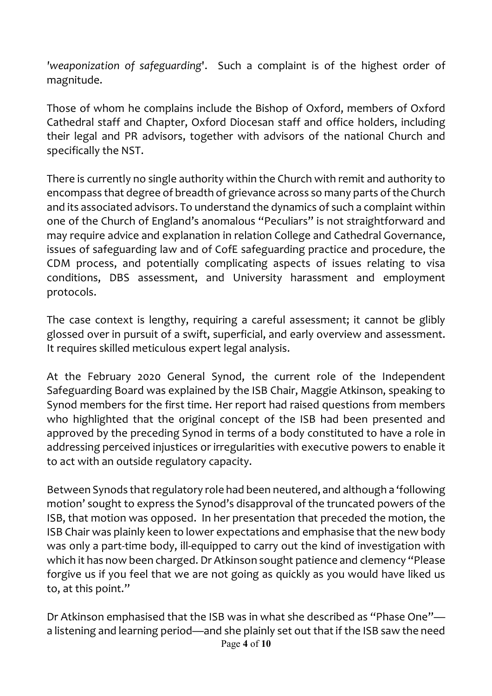*'weaponization of safeguarding*'. Such a complaint is of the highest order of magnitude.

Those of whom he complains include the Bishop of Oxford, members of Oxford Cathedral staff and Chapter, Oxford Diocesan staff and office holders, including their legal and PR advisors, together with advisors of the national Church and specifically the NST.

There is currently no single authority within the Church with remit and authority to encompass that degree of breadth of grievance across so many parts of the Church and its associated advisors. To understand the dynamics of such a complaint within one of the Church of England's anomalous "Peculiars" is not straightforward and may require advice and explanation in relation College and Cathedral Governance, issues of safeguarding law and of CofE safeguarding practice and procedure, the CDM process, and potentially complicating aspects of issues relating to visa conditions, DBS assessment, and University harassment and employment protocols.

The case context is lengthy, requiring a careful assessment; it cannot be glibly glossed over in pursuit of a swift, superficial, and early overview and assessment. It requires skilled meticulous expert legal analysis.

At the February 2020 General Synod, the current role of the Independent Safeguarding Board was explained by the ISB Chair, Maggie Atkinson, speaking to Synod members for the first time. Her report had raised questions from members who highlighted that the original concept of the ISB had been presented and approved by the preceding Synod in terms of a body constituted to have a role in addressing perceived injustices or irregularities with executive powers to enable it to act with an outside regulatory capacity.

Between Synods that regulatory role had been neutered, and although a 'following motion' sought to express the Synod's disapproval of the truncated powers of the ISB, that motion was opposed. In her presentation that preceded the motion, the ISB Chair was plainly keen to lower expectations and emphasise that the new body was only a part-time body, ill-equipped to carry out the kind of investigation with which it has now been charged. Dr Atkinson sought patience and clemency "Please forgive us if you feel that we are not going as quickly as you would have liked us to, at this point."

Page **4** of **10** Dr Atkinson emphasised that the ISB was in what she described as "Phase One" a listening and learning period—and she plainly set out that if the ISB saw the need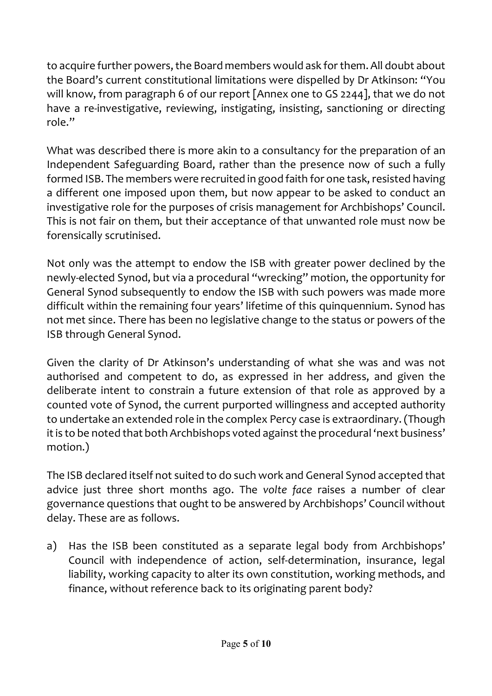to acquire further powers, the Board members would ask for them. All doubt about the Board's current constitutional limitations were dispelled by Dr Atkinson: "You will know, from paragraph 6 of our report [Annex one to GS 2244], that we do not have a re-investigative, reviewing, instigating, insisting, sanctioning or directing role."

What was described there is more akin to a consultancy for the preparation of an Independent Safeguarding Board, rather than the presence now of such a fully formed ISB. The members were recruited in good faith for one task, resisted having a different one imposed upon them, but now appear to be asked to conduct an investigative role for the purposes of crisis management for Archbishops' Council. This is not fair on them, but their acceptance of that unwanted role must now be forensically scrutinised.

Not only was the attempt to endow the ISB with greater power declined by the newly-elected Synod, but via a procedural "wrecking" motion, the opportunity for General Synod subsequently to endow the ISB with such powers was made more difficult within the remaining four years' lifetime of this quinquennium. Synod has not met since. There has been no legislative change to the status or powers of the ISB through General Synod.

Given the clarity of Dr Atkinson's understanding of what she was and was not authorised and competent to do, as expressed in her address, and given the deliberate intent to constrain a future extension of that role as approved by a counted vote of Synod, the current purported willingness and accepted authority to undertake an extended role in the complex Percy case is extraordinary. (Though it is to be noted that both Archbishops voted against the procedural 'next business' motion.)

The ISB declared itself not suited to do such work and General Synod accepted that advice just three short months ago. The *volte face* raises a number of clear governance questions that ought to be answered by Archbishops' Council without delay. These are as follows.

a) Has the ISB been constituted as a separate legal body from Archbishops' Council with independence of action, self-determination, insurance, legal liability, working capacity to alter its own constitution, working methods, and finance, without reference back to its originating parent body?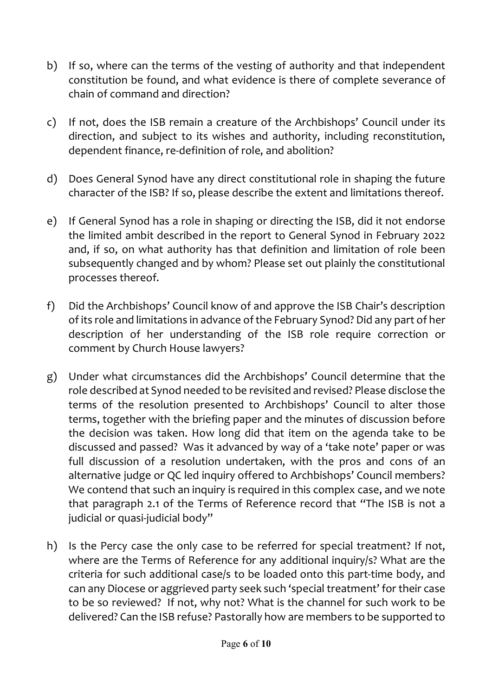- b) If so, where can the terms of the vesting of authority and that independent constitution be found, and what evidence is there of complete severance of chain of command and direction?
- c) If not, does the ISB remain a creature of the Archbishops' Council under its direction, and subject to its wishes and authority, including reconstitution, dependent finance, re-definition of role, and abolition?
- d) Does General Synod have any direct constitutional role in shaping the future character of the ISB? If so, please describe the extent and limitations thereof.
- e) If General Synod has a role in shaping or directing the ISB, did it not endorse the limited ambit described in the report to General Synod in February 2022 and, if so, on what authority has that definition and limitation of role been subsequently changed and by whom? Please set out plainly the constitutional processes thereof.
- f) Did the Archbishops' Council know of and approve the ISB Chair's description of its role and limitations in advance ofthe February Synod? Did any part of her description of her understanding of the ISB role require correction or comment by Church House lawyers?
- g) Under what circumstances did the Archbishops' Council determine that the role described at Synod needed to be revisited and revised? Please disclose the terms of the resolution presented to Archbishops' Council to alter those terms, together with the briefing paper and the minutes of discussion before the decision was taken. How long did that item on the agenda take to be discussed and passed? Was it advanced by way of a 'take note' paper or was full discussion of a resolution undertaken, with the pros and cons of an alternative judge or QC led inquiry offered to Archbishops' Council members? We contend that such an inquiry is required in this complex case, and we note that paragraph 2.1 of the Terms of Reference record that "The ISB is not a judicial or quasi-judicial body"
- h) Is the Percy case the only case to be referred for special treatment? If not, where are the Terms of Reference for any additional inquiry/s? What are the criteria for such additional case/s to be loaded onto this part-time body, and can any Diocese or aggrieved party seek such 'special treatment' for their case to be so reviewed? If not, why not? What is the channel for such work to be delivered? Can the ISB refuse? Pastorally how are members to be supported to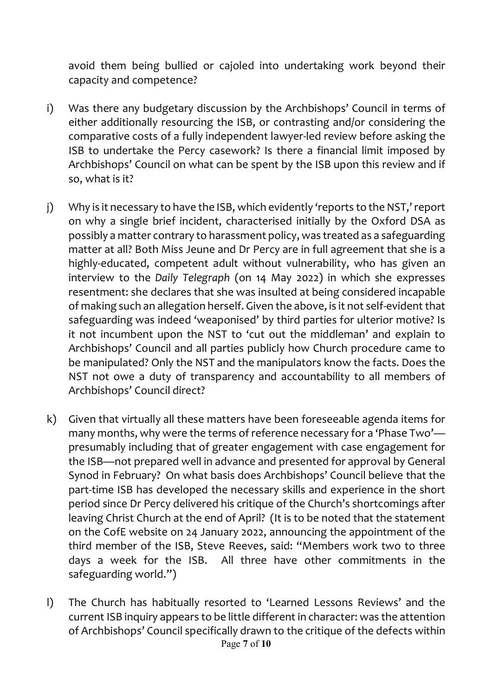avoid them being bullied or cajoled into undertaking work beyond their capacity and competence?

- i) Was there any budgetary discussion by the Archbishops' Council in terms of either additionally resourcing the ISB, or contrasting and/or considering the comparative costs of a fully independent lawyer-led review before asking the ISB to undertake the Percy casework? Is there a financial limit imposed by Archbishops' Council on what can be spent by the ISB upon this review and if so, what is it?
- j) Why is it necessary to have the ISB, which evidently 'reports to the NST,' report on why a single brief incident, characterised initially by the Oxford DSA as possibly a matter contrary to harassment policy, was treated as a safeguarding matter at all? Both Miss Jeune and Dr Percy are in full agreement that she is a highly-educated, competent adult without vulnerability, who has given an interview to the *Daily Telegraph* (on 14 May 2022) in which she expresses resentment: she declares that she was insulted at being considered incapable of making such an allegation herself. Given the above, is it not self-evident that safeguarding was indeed 'weaponised' by third parties for ulterior motive? Is it not incumbent upon the NST to 'cut out the middleman' and explain to Archbishops' Council and all parties publicly how Church procedure came to be manipulated? Only the NST and the manipulators know the facts. Does the NST not owe a duty of transparency and accountability to all members of Archbishops' Council direct?
- k) Given that virtually all these matters have been foreseeable agenda items for many months, why were the terms of reference necessary for a 'Phase Two' presumably including that of greater engagement with case engagement for the ISB—not prepared well in advance and presented for approval by General Synod in February? On what basis does Archbishops' Council believe that the part-time ISB has developed the necessary skills and experience in the short period since Dr Percy delivered his critique of the Church's shortcomings after leaving Christ Church at the end of April? (It is to be noted that the statement on the CofE website on 24 January 2022, announcing the appointment of the third member of the ISB, Steve Reeves, said: "Members work two to three days a week for the ISB. All three have other commitments in the safeguarding world.")
- Page **7** of **10** l) The Church has habitually resorted to 'Learned Lessons Reviews' and the current ISB inquiry appears to be little different in character: was the attention of Archbishops' Council specifically drawn to the critique of the defects within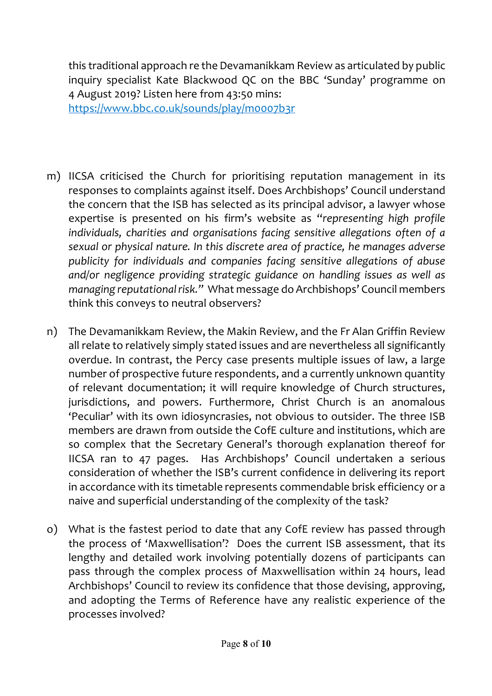this traditional approach re the Devamanikkam Review as articulated by public inquiry specialist Kate Blackwood QC on the BBC 'Sunday' programme on 4 August 2019? Listen here from 43:50 mins: https://www.bbc.co.uk/sounds/play/m0007b3r

- m) IICSA criticised the Church for prioritising reputation management in its responses to complaints against itself. Does Archbishops' Council understand the concern that the ISB has selected as its principal advisor, a lawyer whose expertise is presented on his firm's website as "*representing high profile individuals, charities and organisations facing sensitive allegations often of a sexual or physical nature. In this discrete area of practice, he manages adverse publicity for individuals and companies facing sensitive allegations of abuse and/or negligence providing strategic guidance on handling issues as well as managing reputationalrisk."* What message do Archbishops' Council members think this conveys to neutral observers?
- n) The Devamanikkam Review, the Makin Review, and the Fr Alan Griffin Review all relate to relatively simply stated issues and are nevertheless all significantly overdue. In contrast, the Percy case presents multiple issues of law, a large number of prospective future respondents, and a currently unknown quantity of relevant documentation; it will require knowledge of Church structures, jurisdictions, and powers. Furthermore, Christ Church is an anomalous 'Peculiar' with its own idiosyncrasies, not obvious to outsider. The three ISB members are drawn from outside the CofE culture and institutions, which are so complex that the Secretary General's thorough explanation thereof for IICSA ran to 47 pages. Has Archbishops' Council undertaken a serious consideration of whether the ISB's current confidence in delivering its report in accordance with its timetable represents commendable brisk efficiency or a naive and superficial understanding of the complexity of the task?
- o) What is the fastest period to date that any CofE review has passed through the process of 'Maxwellisation'? Does the current ISB assessment, that its lengthy and detailed work involving potentially dozens of participants can pass through the complex process of Maxwellisation within 24 hours, lead Archbishops' Council to review its confidence that those devising, approving, and adopting the Terms of Reference have any realistic experience of the processes involved?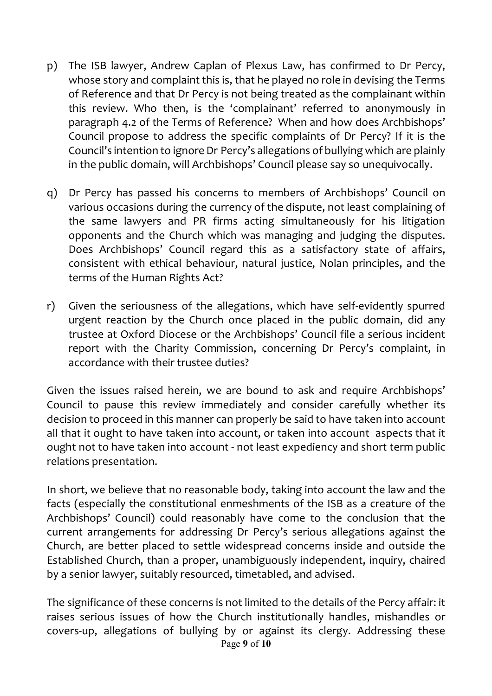- p) The ISB lawyer, Andrew Caplan of Plexus Law, has confirmed to Dr Percy, whose story and complaint this is, that he played no role in devising the Terms of Reference and that Dr Percy is not being treated as the complainant within this review. Who then, is the 'complainant' referred to anonymously in paragraph 4.2 of the Terms of Reference? When and how does Archbishops' Council propose to address the specific complaints of Dr Percy? If it is the Council's intention to ignore Dr Percy's allegations of bullying which are plainly in the public domain, will Archbishops' Council please say so unequivocally.
- q) Dr Percy has passed his concerns to members of Archbishops' Council on various occasions during the currency of the dispute, not least complaining of the same lawyers and PR firms acting simultaneously for his litigation opponents and the Church which was managing and judging the disputes. Does Archbishops' Council regard this as a satisfactory state of affairs, consistent with ethical behaviour, natural justice, Nolan principles, and the terms of the Human Rights Act?
- r) Given the seriousness of the allegations, which have self-evidently spurred urgent reaction by the Church once placed in the public domain, did any trustee at Oxford Diocese or the Archbishops' Council file a serious incident report with the Charity Commission, concerning Dr Percy's complaint, in accordance with their trustee duties?

Given the issues raised herein, we are bound to ask and require Archbishops' Council to pause this review immediately and consider carefully whether its decision to proceed in this manner can properly be said to have taken into account all that it ought to have taken into account, or taken into account aspects that it ought not to have taken into account - not least expediency and short term public relations presentation.

In short, we believe that no reasonable body, taking into account the law and the facts (especially the constitutional enmeshments of the ISB as a creature of the Archbishops' Council) could reasonably have come to the conclusion that the current arrangements for addressing Dr Percy's serious allegations against the Church, are better placed to settle widespread concerns inside and outside the Established Church, than a proper, unambiguously independent, inquiry, chaired by a senior lawyer, suitably resourced, timetabled, and advised.

Page **9** of **10** The significance of these concerns is not limited to the details of the Percy affair: it raises serious issues of how the Church institutionally handles, mishandles or covers-up, allegations of bullying by or against its clergy. Addressing these